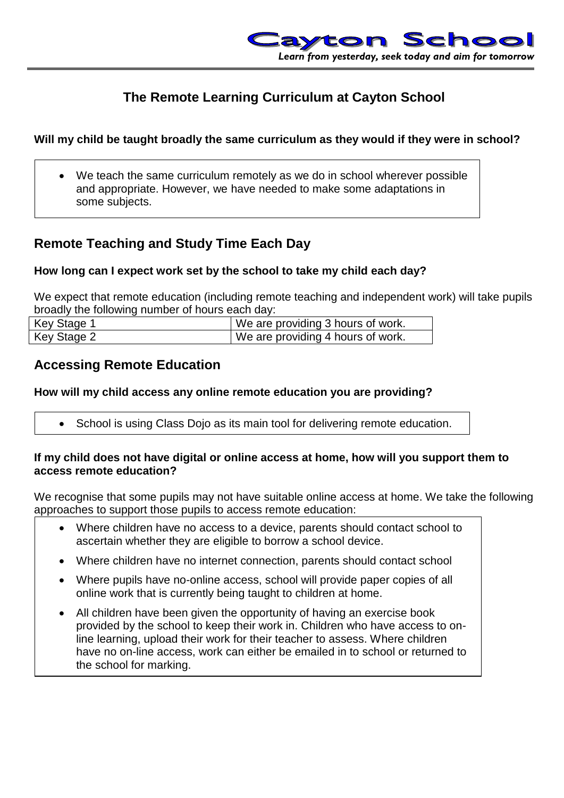

# **The Remote Learning Curriculum at Cayton School**

### **Will my child be taught broadly the same curriculum as they would if they were in school?**

 We teach the same curriculum remotely as we do in school wherever possible and appropriate. However, we have needed to make some adaptations in some subjects.

# **Remote Teaching and Study Time Each Day**

### **How long can I expect work set by the school to take my child each day?**

We expect that remote education (including remote teaching and independent work) will take pupils broadly the following number of hours each day:

| Key Stage 1 | We are providing 3 hours of work. |
|-------------|-----------------------------------|
| Key Stage 2 | We are providing 4 hours of work. |

## **Accessing Remote Education**

### **How will my child access any online remote education you are providing?**

• School is using Class Dojo as its main tool for delivering remote education.

#### **If my child does not have digital or online access at home, how will you support them to access remote education?**

We recognise that some pupils may not have suitable online access at home. We take the following approaches to support those pupils to access remote education:

- Where children have no access to a device, parents should contact school to ascertain whether they are eligible to borrow a school device.
- Where children have no internet connection, parents should contact school
- Where pupils have no-online access, school will provide paper copies of all online work that is currently being taught to children at home.
- All children have been given the opportunity of having an exercise book provided by the school to keep their work in. Children who have access to online learning, upload their work for their teacher to assess. Where children have no on-line access, work can either be emailed in to school or returned to the school for marking.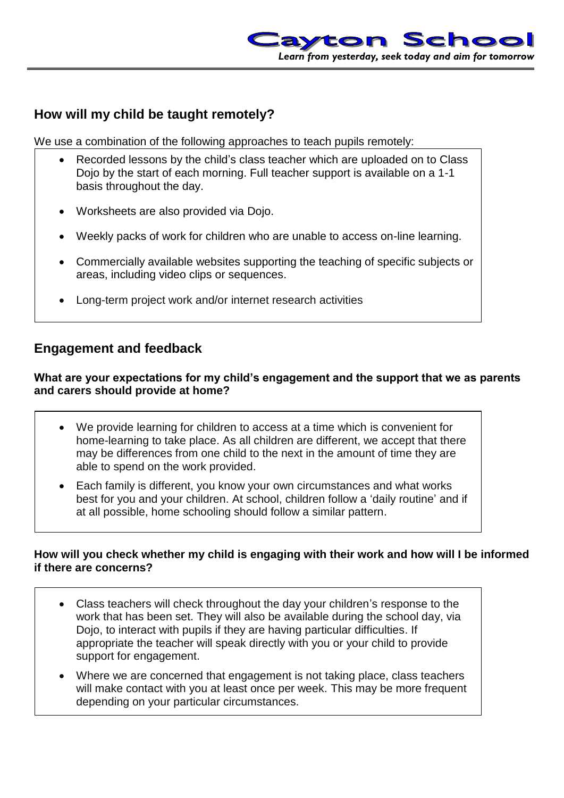

# **How will my child be taught remotely?**

We use a combination of the following approaches to teach pupils remotely:

- Recorded lessons by the child's class teacher which are uploaded on to Class Dojo by the start of each morning. Full teacher support is available on a 1-1 basis throughout the day.
- Worksheets are also provided via Dojo.
- Weekly packs of work for children who are unable to access on-line learning.
- Commercially available websites supporting the teaching of specific subjects or areas, including video clips or sequences.
- Long-term project work and/or internet research activities

## **Engagement and feedback**

**What are your expectations for my child's engagement and the support that we as parents and carers should provide at home?**

- We provide learning for children to access at a time which is convenient for home-learning to take place. As all children are different, we accept that there may be differences from one child to the next in the amount of time they are able to spend on the work provided.
- Each family is different, you know your own circumstances and what works best for you and your children. At school, children follow a 'daily routine' and if at all possible, home schooling should follow a similar pattern.

### **How will you check whether my child is engaging with their work and how will I be informed if there are concerns?**

- Class teachers will check throughout the day your children's response to the work that has been set. They will also be available during the school day, via Dojo, to interact with pupils if they are having particular difficulties. If appropriate the teacher will speak directly with you or your child to provide support for engagement.
- Where we are concerned that engagement is not taking place, class teachers will make contact with you at least once per week. This may be more frequent depending on your particular circumstances.